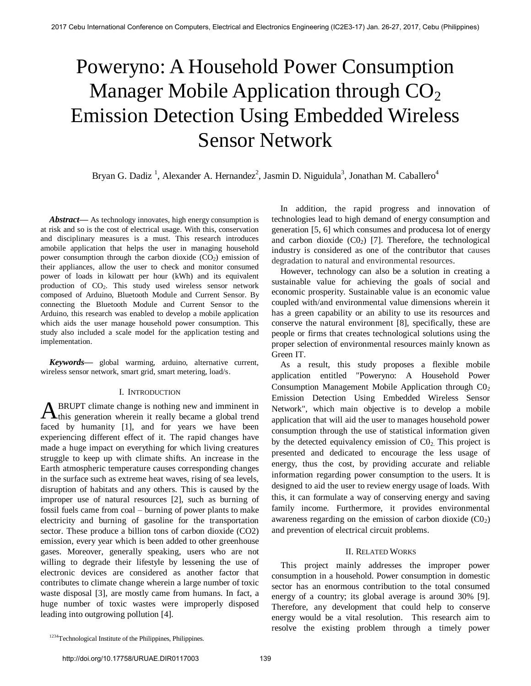# Poweryno: A Household Power Consumption Manager Mobile Application through  $CO<sub>2</sub>$ Emission Detection Using Embedded Wireless Sensor Network

Bryan G. Dadiz<sup>1</sup>, Alexander A. Hernandez<sup>2</sup>, Jasmin D. Niguidula<sup>3</sup>, Jonathan M. Caballero<sup>4</sup>

*Abstract***—** As technology innovates, high energy consumption is at risk and so is the cost of electrical usage. With this, conservation and disciplinary measures is a must. This research introduces amobile application that helps the user in managing household power consumption through the carbon dioxide  $(CO<sub>2</sub>)$  emission of their appliances, allow the user to check and monitor consumed power of loads in kilowatt per hour (kWh) and its equivalent production of CO2. This study used wireless sensor network composed of Arduino, Bluetooth Module and Current Sensor. By connecting the Bluetooth Module and Current Sensor to the Arduino, this research was enabled to develop a mobile application which aids the user manage household power consumption. This study also included a scale model for the application testing and implementation.

*Keywords***—** global warming, arduino, alternative current, wireless sensor network, smart grid, smart metering, load/s.

## I. INTRODUCTION

BRUPT climate change is nothing new and imminent in  $A<sup>BRUPT</sup>$  climate change is nothing new and imminent in this generation wherein it really became a global trend faced by humanity [1], and for years we have been experiencing different effect of it. The rapid changes have made a huge impact on everything for which living creatures struggle to keep up with climate shifts. An increase in the Earth atmospheric temperature causes corresponding changes in the surface such as extreme heat waves, rising of sea levels, disruption of habitats and any others. This is caused by the improper use of natural resources [2], such as burning of fossil fuels came from coal – burning of power plants to make electricity and burning of gasoline for the transportation sector. These produce a billion tons of carbon dioxide (CO2) emission, every year which is been added to other greenhouse gases. Moreover, generally speaking, users who are not willing to degrade their lifestyle by lessening the use of electronic devices are considered as another factor that contributes to climate change wherein a large number of toxic waste disposal [3], are mostly came from humans. In fact, a huge number of toxic wastes were improperly disposed leading into outgrowing pollution [4].

In addition, the rapid progress and innovation of technologies lead to high demand of energy consumption and generation [5, 6] which consumes and producesa lot of energy and carbon dioxide  $(C0<sub>2</sub>)$  [7]. Therefore, the technological industry is considered as one of the contributor that causes degradation to natural and environmental resources.

However, technology can also be a solution in creating a sustainable value for achieving the goals of social and economic prosperity. Sustainable value is an economic value coupled with/and environmental value dimensions wherein it has a green capability or an ability to use its resources and conserve the natural environment [8], specifically, these are people or firms that creates technological solutions using the proper selection of environmental resources mainly known as Green IT.

As a result, this study proposes a flexible mobile application entitled "Poweryno: A Household Power Consumption Management Mobile Application through  $CO<sub>2</sub>$ Emission Detection Using Embedded Wireless Sensor Network", which main objective is to develop a mobile application that will aid the user to manages household power consumption through the use of statistical information given by the detected equivalency emission of  $CO<sub>2</sub>$ . This project is presented and dedicated to encourage the less usage of energy, thus the cost, by providing accurate and reliable information regarding power consumption to the users. It is designed to aid the user to review energy usage of loads. With this, it can formulate a way of conserving energy and saving family income. Furthermore, it provides environmental awareness regarding on the emission of carbon dioxide  $(C_2)$ and prevention of electrical circuit problems.

## II. RELATED WORKS

 This project mainly addresses the improper power consumption in a household. Power consumption in domestic sector has an enormous contribution to the total consumed energy of a country; its global average is around 30% [9]. Therefore, any development that could help to conserve energy would be a vital resolution. This research aim to resolve the existing problem through a timely power

<sup>&</sup>lt;sup>1234</sup>Technological Institute of the Philippines, Philippines.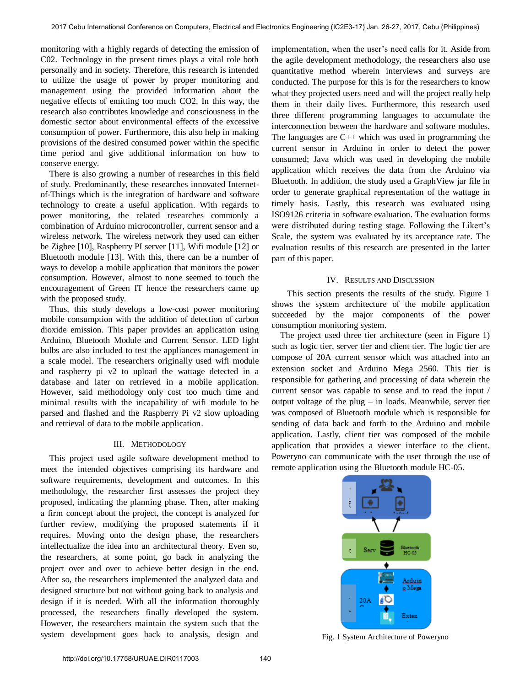monitoring with a highly regards of detecting the emission of C02. Technology in the present times plays a vital role both personally and in society. Therefore, this research is intended to utilize the usage of power by proper monitoring and management using the provided information about the negative effects of emitting too much CO2. In this way, the research also contributes knowledge and consciousness in the domestic sector about environmental effects of the excessive consumption of power. Furthermore, this also help in making provisions of the desired consumed power within the specific time period and give additional information on how to conserve energy.

There is also growing a number of researches in this field of study. Predominantly, these researches innovated Internetof-Things which is the integration of hardware and software technology to create a useful application. With regards to power monitoring, the related researches commonly a combination of Arduino microcontroller, current sensor and a wireless network. The wireless network they used can either be Zigbee [10], Raspberry PI server [11], Wifi module [12] or Bluetooth module [13]. With this, there can be a number of ways to develop a mobile application that monitors the power consumption. However, almost to none seemed to touch the encouragement of Green IT hence the researchers came up with the proposed study.

Thus, this study develops a low-cost power monitoring mobile consumption with the addition of detection of carbon dioxide emission. This paper provides an application using Arduino, Bluetooth Module and Current Sensor. LED light bulbs are also included to test the appliances management in a scale model. The researchers originally used wifi module and raspberry pi v2 to upload the wattage detected in a database and later on retrieved in a mobile application. However, said methodology only cost too much time and minimal results with the incapability of wifi module to be parsed and flashed and the Raspberry Pi v2 slow uploading and retrieval of data to the mobile application.

### III. METHODOLOGY

This project used agile software development method to meet the intended objectives comprising its hardware and software requirements, development and outcomes. In this methodology, the researcher first assesses the project they proposed, indicating the planning phase. Then, after making a firm concept about the project, the concept is analyzed for further review, modifying the proposed statements if it requires. Moving onto the design phase, the researchers intellectualize the idea into an architectural theory. Even so, the researchers, at some point, go back in analyzing the project over and over to achieve better design in the end. After so, the researchers implemented the analyzed data and designed structure but not without going back to analysis and design if it is needed. With all the information thoroughly processed, the researchers finally developed the system. However, the researchers maintain the system such that the system development goes back to analysis, design and

implementation, when the user's need calls for it. Aside from the agile development methodology, the researchers also use quantitative method wherein interviews and surveys are conducted. The purpose for this is for the researchers to know what they projected users need and will the project really help them in their daily lives. Furthermore, this research used three different programming languages to accumulate the interconnection between the hardware and software modules. The languages are  $C_{++}$  which was used in programming the current sensor in Arduino in order to detect the power consumed; Java which was used in developing the mobile application which receives the data from the Arduino via Bluetooth. In addition, the study used a GraphView jar file in order to generate graphical representation of the wattage in timely basis. Lastly, this research was evaluated using ISO9126 criteria in software evaluation. The evaluation forms were distributed during testing stage. Following the Likert's Scale, the system was evaluated by its acceptance rate. The evaluation results of this research are presented in the latter part of this paper.

#### IV. RESULTS AND DISCUSSION

This section presents the results of the study. Figure 1 shows the system architecture of the mobile application succeeded by the major components of the power consumption monitoring system.

The project used three tier architecture (seen in Figure 1) such as logic tier, server tier and client tier. The logic tier are compose of 20A current sensor which was attached into an extension socket and Arduino Mega 2560. This tier is responsible for gathering and processing of data wherein the current sensor was capable to sense and to read the input / output voltage of the plug – in loads. Meanwhile, server tier was composed of Bluetooth module which is responsible for sending of data back and forth to the Arduino and mobile application. Lastly, client tier was composed of the mobile application that provides a viewer interface to the client. Poweryno can communicate with the user through the use of remote application using the Bluetooth module HC-05.



Fig. 1 System Architecture of Poweryno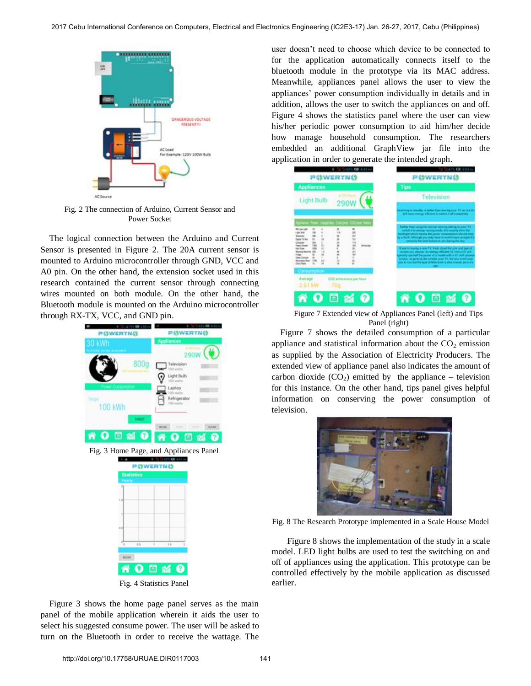

Fig. 2 The connection of Arduino, Current Sensor and Power Socket

The logical connection between the Arduino and Current Sensor is presented in Figure 2. The 20A current sensor is mounted to Arduino microcontroller through GND, VCC and A0 pin. On the other hand, the extension socket used in this research contained the current sensor through connecting wires mounted on both module. On the other hand, the Bluetooth module is mounted on the Arduino microcontroller through RX-TX, VCC, and GND pin.



Figure 3 shows the home page panel serves as the main panel of the mobile application wherein it aids the user to select his suggested consume power. The user will be asked to turn on the Bluetooth in order to receive the wattage. The user doesn't need to choose which device to be connected to for the application automatically connects itself to the bluetooth module in the prototype via its MAC address. Meanwhile, appliances panel allows the user to view the appliances' power consumption individually in details and in addition, allows the user to switch the appliances on and off. Figure 4 shows the statistics panel where the user can view his/her periodic power consumption to aid him/her decide how manage household consumption. The researchers embedded an additional GraphView jar file into the application in order to generate the intended graph.



Figure 7 Extended view of Appliances Panel (left) and Tips Panel (right)

Figure 7 shows the detailed consumption of a particular appliance and statistical information about the  $CO<sub>2</sub>$  emission as supplied by the Association of Electricity Producers. The extended view of appliance panel also indicates the amount of carbon dioxide  $(CO_2)$  emitted by the appliance – television for this instance. On the other hand, tips panel gives helpful information on conserving the power consumption of television.



Fig. 8 The Research Prototype implemented in a Scale House Model

Figure 8 shows the implementation of the study in a scale model. LED light bulbs are used to test the switching on and off of appliances using the application. This prototype can be controlled effectively by the mobile application as discussed earlier.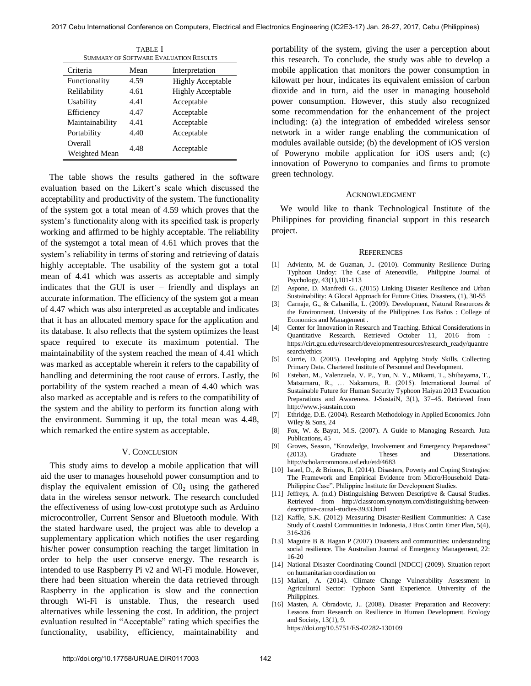| <b>TABLE</b> I<br><b>SUMMARY OF SOFTWARE EVALUATION RESULTS</b> |      |                          |
|-----------------------------------------------------------------|------|--------------------------|
| Criteria                                                        | Mean | Interpretation           |
| Functionality                                                   | 4.59 | <b>Highly Acceptable</b> |
| Relilability                                                    | 4.61 | <b>Highly Acceptable</b> |
| Usability                                                       | 4.41 | Acceptable               |
| Efficiency                                                      | 4.47 | Acceptable               |
| Maintainability                                                 | 4.41 | Acceptable               |
| Portability                                                     | 4.40 | Acceptable               |
| Overall<br>Weighted Mean                                        | 4.48 | Acceptable               |

The table shows the results gathered in the software evaluation based on the Likert's scale which discussed the acceptability and productivity of the system. The functionality of the system got a total mean of 4.59 which proves that the system's functionality along with its specified task is properly working and affirmed to be highly acceptable. The reliability of the systemgot a total mean of 4.61 which proves that the system's reliability in terms of storing and retrieving of datais highly acceptable. The usability of the system got a total mean of 4.41 which was asserts as acceptable and simply indicates that the GUI is user – friendly and displays an accurate information. The efficiency of the system got a mean of 4.47 which was also interpreted as acceptable and indicates that it has an allocated memory space for the application and its database. It also reflects that the system optimizes the least space required to execute its maximum potential. The maintainability of the system reached the mean of 4.41 which was marked as acceptable wherein it refers to the capability of handling and determining the root cause of errors. Lastly, the portability of the system reached a mean of 4.40 which was also marked as acceptable and is refers to the compatibility of the system and the ability to perform its function along with the environment. Summing it up, the total mean was 4.48, which remarked the entire system as acceptable.

### V. CONCLUSION

 This study aims to develop a mobile application that will aid the user to manages household power consumption and to display the equivalent emission of  $CO<sub>2</sub>$  using the gathered data in the wireless sensor network. The research concluded the effectiveness of using low-cost prototype such as Arduino microcontroller, Current Sensor and Bluetooth module. With the stated hardware used, the project was able to develop a supplementary application which notifies the user regarding his/her power consumption reaching the target limitation in order to help the user conserve energy. The research is intended to use Raspberry Pi v2 and Wi-Fi module. However, there had been situation wherein the data retrieved through Raspberry in the application is slow and the connection through Wi-Fi is unstable. Thus, the research used alternatives while lessening the cost. In addition, the project evaluation resulted in "Acceptable" rating which specifies the functionality, usability, efficiency, maintainability and

portability of the system, giving the user a perception about this research. To conclude, the study was able to develop a mobile application that monitors the power consumption in kilowatt per hour, indicates its equivalent emission of carbon dioxide and in turn, aid the user in managing household power consumption. However, this study also recognized some recommendation for the enhancement of the project including: (a) the integration of embedded wireless sensor network in a wider range enabling the communication of modules available outside; (b) the development of iOS version of Poweryno mobile application for iOS users and; (c) innovation of Poweryno to companies and firms to promote green technology.

#### ACKNOWLEDGMENT

We would like to thank Technological Institute of the Philippines for providing financial support in this research project.

#### **REFERENCES**

- [1] Adviento, M. de Guzman, J.. (2010). Community Resilience During Typhoon Ondoy: The Case of Ateneoville, Philippine Journal of Psychology, 43(1),101-113
- [2] Aspone, D. Manfredi G.. (2015) Linking Disaster Resilience and Urban Sustainability: A Glocal Approach for Future Cities. Disasters, (1), 30-55
- [3] Carnaje, G., & Cabanilla, L. (2009). Development, Natural Resources & the Environment. University of the Philippines Los Baños : College of Economics and Management .
- [4] Center for Innovation in Research and Teaching. Ethical Considerations in Quantitative Research. Retrieved October 11, 2016 from : https://cirt.gcu.edu/research/developmentresources/research\_ready/quantre search/ethics
- [5] Currie, D. (2005). Developing and Applying Study Skills. Collecting Primary Data. Chartered Institute of Personnel and Development.
- [6] Esteban, M., Valenzuela, V. P., Yun, N. Y., Mikami, T., Shibayama, T., Matsumaru, R., … Nakamura, R. (2015). International Journal of Sustainable Future for Human Security Typhoon Haiyan 2013 Evacuation Preparations and Awareness. J-SustaiN, 3(1), 37–45. Retrieved from http://www.j-sustain.com
- [7] Ethridge, D.E. (2004). Research Methodology in Applied Economics. John Wiley & Sons, 24
- [8] Fox, W. & Bayat, M.S. (2007). A Guide to Managing Research. Juta Publications, 45
- [9] Groves, Season, "Knowledge, Involvement and Emergency Preparedness" (2013). Graduate Theses and Dissertations. http://scholarcommons.usf.edu/etd/4683
- [10] Israel, D., & Briones, R. (2014). Disasters, Poverty and Coping Strategies: The Framework and Empirical Evidence from Micro/Household Data-Philippine Case". Philippine Institute for Development Studies.
- [11] Jeffreys, A. (n.d.) Distinguishing Between Descriptive & Causal Studies. Retrieved from http://classroom.synonym.com/distinguishing-betweendescriptive-causal-studies-3933.html
- [12] Kaffle, S.K. (2012) Measuring Disaster-Resilient Communities: A Case Study of Coastal Communities in Indonesia, J Bus Contin Emer Plan, 5(4), 316-326
- [13] Maguire B & Hagan P (2007) Disasters and communities: understanding social resilience. The Australian Journal of Emergency Management, 22: 16-20
- [14] National Disaster Coordinating Council [NDCC] (2009). Situation report on humanitarian coordination on
- [15] Mallari, A. (2014). Climate Change Vulnerability Assessment in Agricultural Sector: Typhoon Santi Experience. University of the Philippines.
- [16] [Masten, A. Obradovic, J.. \(2008\). Disaster Preparation and Recovery:](https://doi.org/10.5751/ES-02282-130109)  [Lessons from Research on Resilience in Human Development. Ecology](https://doi.org/10.5751/ES-02282-130109)  [and Society, 13\(1\), 9.](https://doi.org/10.5751/ES-02282-130109) <https://doi.org/10.5751/ES-02282-130109>